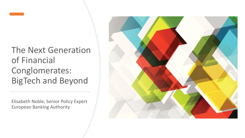

#### The Next Generation of Financial Conglomerates: BigTech and Beyond

Elisabeth Noble, Senior Policy Expert European Banking Authority

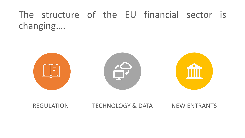## The structure of the EU financial sector is changing….



#### REGULATION TECHNOLOGY & DATA NEW ENTRANTS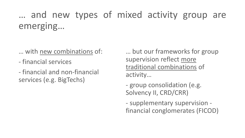## … and new types of mixed activity group are emerging…

- … with new combinations of:
- financial services
- financial and non-financial services (e.g. BigTechs)

… but our frameworks for group supervision reflect more traditional combinations of activity…

- group consolidation (e.g. Solvency II, CRD/CRR)

- supplementary supervision financial conglomerates (FICOD)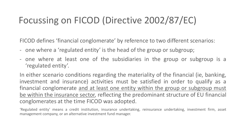### Focussing on FICOD (Directive 2002/87/EC)

FICOD defines 'financial conglomerate' by reference to two different scenarios:

- one where a 'regulated entity' is the head of the group or subgroup;
- one where at least one of the subsidiaries in the group or subgroup is a 'regulated entity'.

In either scenario conditions regarding the materiality of the financial (ie, banking, investment and insurance) activities must be satisfied in order to qualify as a financial conglomerate and at least one entity within the group or subgroup must be within the insurance sector, reflecting the predominant structure of EU financial conglomerates at the time FICOD was adopted.

'Regulated entity' means a credit institution, insurance undertaking, reinsurance undertaking, investment firm, asset management company, or an alternative investment fund manager.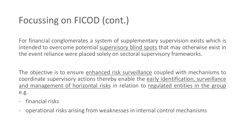#### Focussing on FICOD (cont.)

For financial conglomerates a system of supplementary supervision exists which is intended to overcome potential supervisory blind spots that may otherwise exist in the event reliance were placed solely on sectoral supervisory frameworks.

The objective is to ensure enhanced risk surveillance coupled with mechanisms to coordinate supervisory actions thereby enable the early identification, surveillance and management of horizontal risks in relation to regulated entities in the group e.g.

- financial risks
- operational risks arising from weaknesses in internal control mechanisms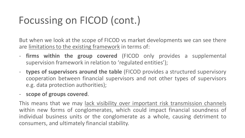# Focussing on FICOD (cont.)

But when we look at the scope of FICOD vs market developments we can see there are limitations to the existing framework in terms of:

- **firms within the group covered** (FICOD only provides a supplemental supervision framework in relation to 'regulated entities');
- **types of supervisors around the table** (FICOD provides a structured supervisory cooperation between financial supervisors and not other types of supervisors e.g. data protection authorities);
- **scope of groups covered**.

This means that we may lack visibility over important risk transmission channels within new forms of conglomerates, which could impact financial soundness of individual business units or the conglomerate as a whole, causing detriment to consumers, and ultimately financial stability.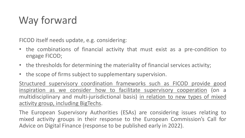# Way forward

FICOD itself needs update, e.g. considering:

- the combinations of financial activity that must exist as a pre-condition to engage FICOD;
- the thresholds for determining the materiality of financial services activity;
- the scope of firms subject to supplementary supervision.

Structured supervisory coordination frameworks such as FICOD provide good inspiration as we consider how to facilitate supervisory cooperation (on a multidisciplinary and multi-jurisdictional basis) in relation to new types of mixed activity group, including BigTechs.

The European Supervisory Authorities (ESAs) are considering issues relating to mixed activity groups in their response to the European Commission's Call for Advice on Digital Finance (response to be published early in 2022).